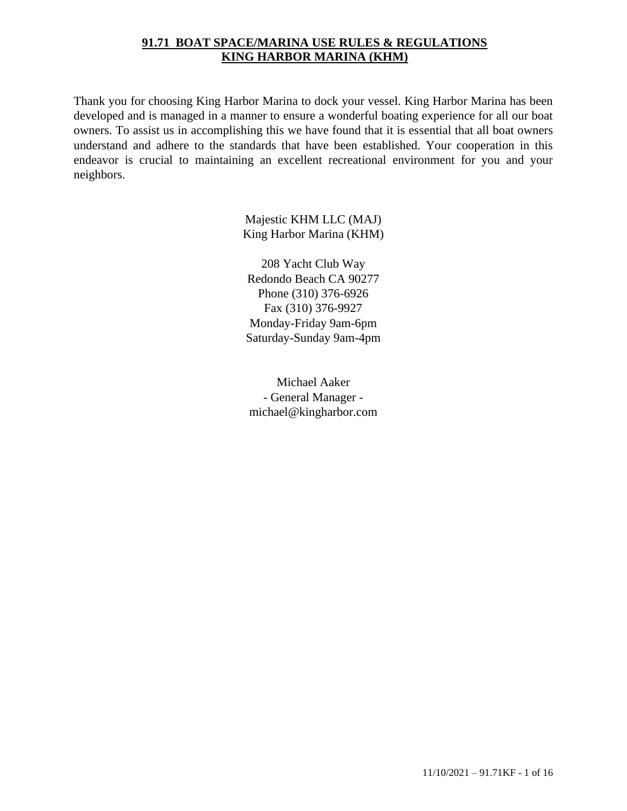### **91.71 BOAT SPACE/MARINA USE RULES & REGULATIONS KING HARBOR MARINA (KHM)**

Thank you for choosing King Harbor Marina to dock your vessel. King Harbor Marina has been developed and is managed in a manner to ensure a wonderful boating experience for all our boat owners. To assist us in accomplishing this we have found that it is essential that all boat owners understand and adhere to the standards that have been established. Your cooperation in this endeavor is crucial to maintaining an excellent recreational environment for you and your neighbors.

> Majestic KHM LLC (MAJ) King Harbor Marina (KHM)

208 Yacht Club Way Redondo Beach CA 90277 Phone (310) 376-6926 Fax (310) 376-9927 Monday-Friday 9am-6pm Saturday-Sunday 9am-4pm

Michael Aaker - General Manager michael@kingharbor.com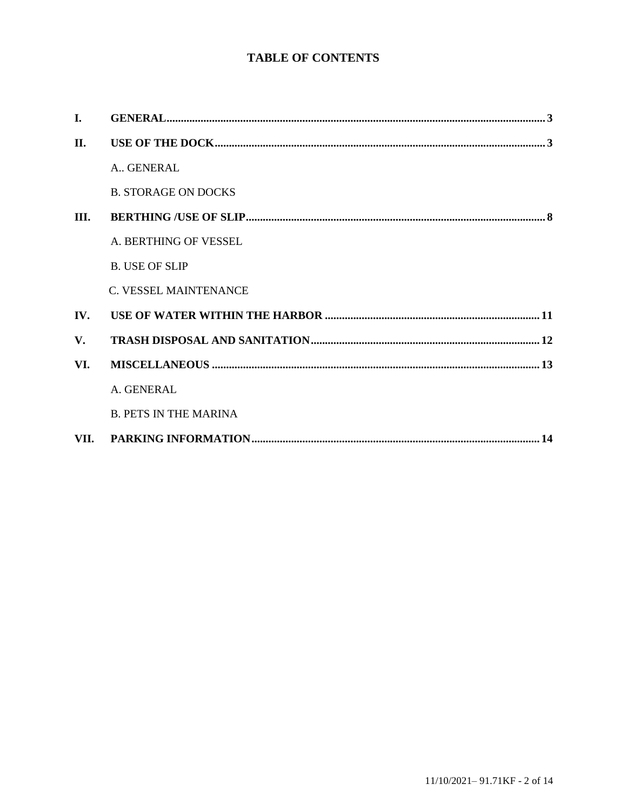# **TABLE OF CONTENTS**

| I.   |                              |
|------|------------------------------|
| II.  |                              |
|      | A., GENERAL                  |
|      | <b>B. STORAGE ON DOCKS</b>   |
| III. |                              |
|      | A. BERTHING OF VESSEL        |
|      | <b>B. USE OF SLIP</b>        |
|      | C. VESSEL MAINTENANCE        |
| IV.  |                              |
| V.   |                              |
| VI.  |                              |
|      | A. GENERAL                   |
|      | <b>B. PETS IN THE MARINA</b> |
|      |                              |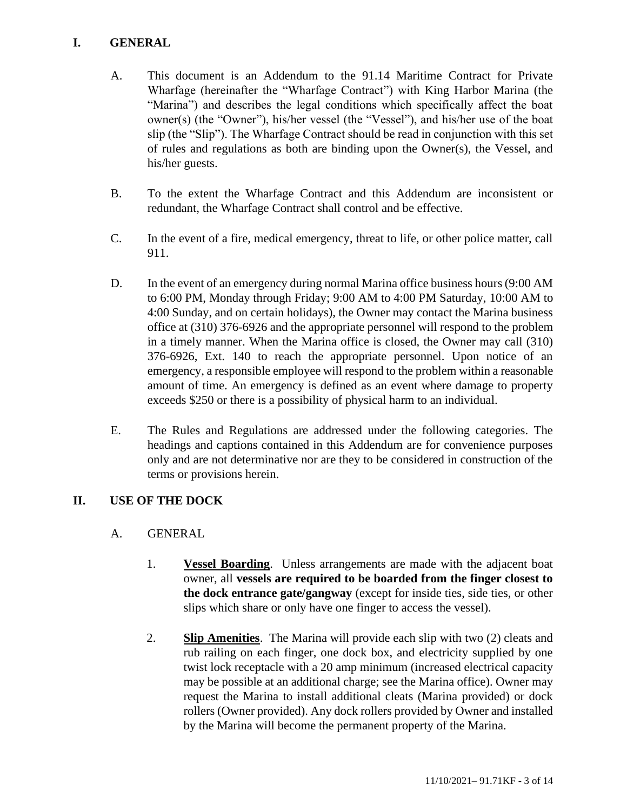### <span id="page-2-0"></span>**I. GENERAL**

- A. This document is an Addendum to the 91.14 Maritime Contract for Private Wharfage (hereinafter the "Wharfage Contract") with King Harbor Marina (the "Marina") and describes the legal conditions which specifically affect the boat owner(s) (the "Owner"), his/her vessel (the "Vessel"), and his/her use of the boat slip (the "Slip"). The Wharfage Contract should be read in conjunction with this set of rules and regulations as both are binding upon the Owner(s), the Vessel, and his/her guests.
- B. To the extent the Wharfage Contract and this Addendum are inconsistent or redundant, the Wharfage Contract shall control and be effective.
- C. In the event of a fire, medical emergency, threat to life, or other police matter, call 911.
- D. In the event of an emergency during normal Marina office business hours (9:00 AM to 6:00 PM, Monday through Friday; 9:00 AM to 4:00 PM Saturday, 10:00 AM to 4:00 Sunday, and on certain holidays), the Owner may contact the Marina business office at (310) 376-6926 and the appropriate personnel will respond to the problem in a timely manner. When the Marina office is closed, the Owner may call (310) 376-6926, Ext. 140 to reach the appropriate personnel. Upon notice of an emergency, a responsible employee will respond to the problem within a reasonable amount of time. An emergency is defined as an event where damage to property exceeds \$250 or there is a possibility of physical harm to an individual.
- E. The Rules and Regulations are addressed under the following categories. The headings and captions contained in this Addendum are for convenience purposes only and are not determinative nor are they to be considered in construction of the terms or provisions herein.

#### <span id="page-2-1"></span>**II. USE OF THE DOCK**

- A. GENERAL
	- 1. **Vessel Boarding**. Unless arrangements are made with the adjacent boat owner, all **vessels are required to be boarded from the finger closest to the dock entrance gate/gangway** (except for inside ties, side ties, or other slips which share or only have one finger to access the vessel).
	- 2. **Slip Amenities**. The Marina will provide each slip with two (2) cleats and rub railing on each finger, one dock box, and electricity supplied by one twist lock receptacle with a 20 amp minimum (increased electrical capacity may be possible at an additional charge; see the Marina office). Owner may request the Marina to install additional cleats (Marina provided) or dock rollers (Owner provided). Any dock rollers provided by Owner and installed by the Marina will become the permanent property of the Marina.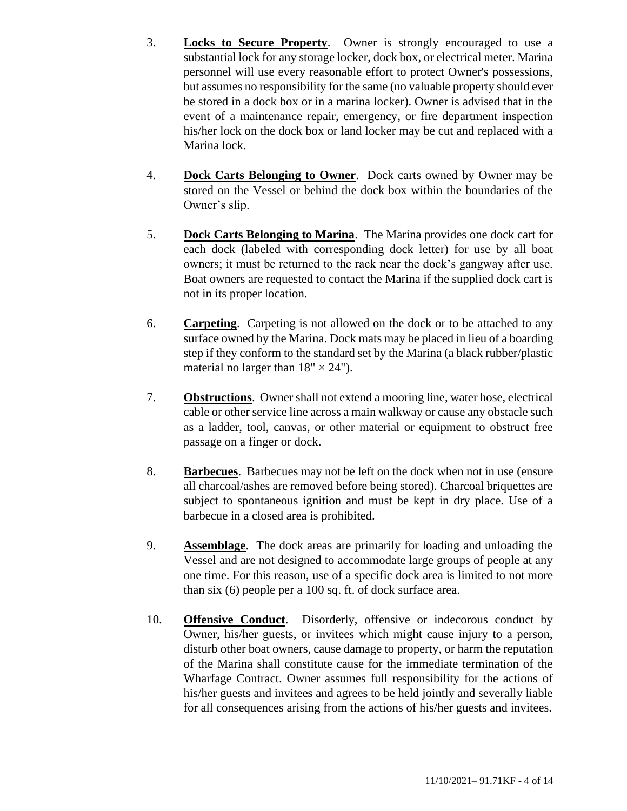- 3. **Locks to Secure Property**. Owner is strongly encouraged to use a substantial lock for any storage locker, dock box, or electrical meter. Marina personnel will use every reasonable effort to protect Owner's possessions, but assumes no responsibility for the same (no valuable property should ever be stored in a dock box or in a marina locker). Owner is advised that in the event of a maintenance repair, emergency, or fire department inspection his/her lock on the dock box or land locker may be cut and replaced with a Marina lock.
- 4. **Dock Carts Belonging to Owner**. Dock carts owned by Owner may be stored on the Vessel or behind the dock box within the boundaries of the Owner's slip.
- 5. **Dock Carts Belonging to Marina**. The Marina provides one dock cart for each dock (labeled with corresponding dock letter) for use by all boat owners; it must be returned to the rack near the dock's gangway after use. Boat owners are requested to contact the Marina if the supplied dock cart is not in its proper location.
- 6. **Carpeting**.Carpeting is not allowed on the dock or to be attached to any surface owned by the Marina. Dock mats may be placed in lieu of a boarding step if they conform to the standard set by the Marina (a black rubber/plastic material no larger than  $18" \times 24"$ ).
- 7. **Obstructions**. Owner shall not extend a mooring line, water hose, electrical cable or other service line across a main walkway or cause any obstacle such as a ladder, tool, canvas, or other material or equipment to obstruct free passage on a finger or dock.
- 8. **Barbecues**. Barbecues may not be left on the dock when not in use (ensure all charcoal/ashes are removed before being stored). Charcoal briquettes are subject to spontaneous ignition and must be kept in dry place. Use of a barbecue in a closed area is prohibited.
- 9. **Assemblage**. The dock areas are primarily for loading and unloading the Vessel and are not designed to accommodate large groups of people at any one time. For this reason, use of a specific dock area is limited to not more than six (6) people per a 100 sq. ft. of dock surface area.
- 10. **Offensive Conduct**. Disorderly, offensive or indecorous conduct by Owner, his/her guests, or invitees which might cause injury to a person, disturb other boat owners, cause damage to property, or harm the reputation of the Marina shall constitute cause for the immediate termination of the Wharfage Contract. Owner assumes full responsibility for the actions of his/her guests and invitees and agrees to be held jointly and severally liable for all consequences arising from the actions of his/her guests and invitees.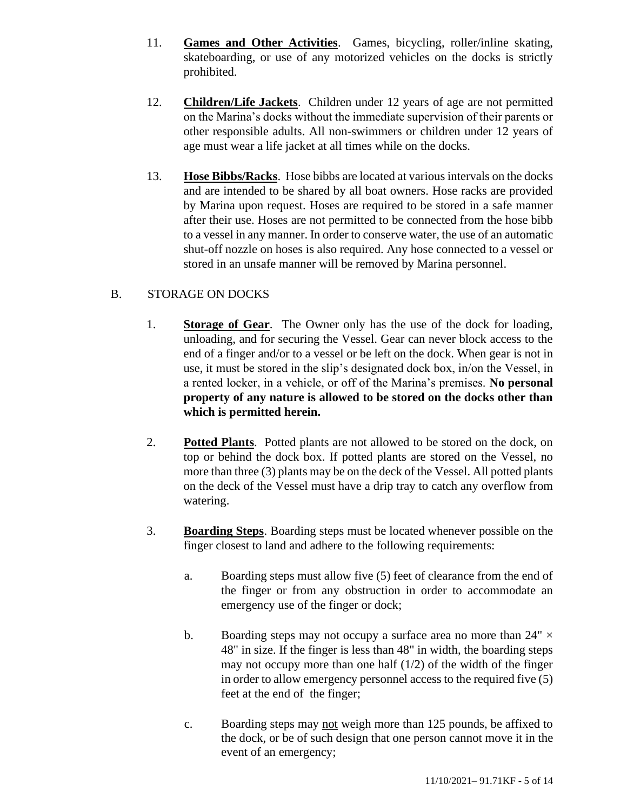- 11. **Games and Other Activities**.Games, bicycling, roller/inline skating, skateboarding, or use of any motorized vehicles on the docks is strictly prohibited.
- 12. **Children/Life Jackets**. Children under 12 years of age are not permitted on the Marina's docks without the immediate supervision of their parents or other responsible adults. All non-swimmers or children under 12 years of age must wear a life jacket at all times while on the docks.
- 13. **Hose Bibbs/Racks**. Hose bibbs are located at various intervals on the docks and are intended to be shared by all boat owners. Hose racks are provided by Marina upon request. Hoses are required to be stored in a safe manner after their use. Hoses are not permitted to be connected from the hose bibb to a vessel in any manner. In order to conserve water, the use of an automatic shut-off nozzle on hoses is also required. Any hose connected to a vessel or stored in an unsafe manner will be removed by Marina personnel.

#### B. STORAGE ON DOCKS

- 1. **Storage of Gear**. The Owner only has the use of the dock for loading, unloading, and for securing the Vessel. Gear can never block access to the end of a finger and/or to a vessel or be left on the dock. When gear is not in use, it must be stored in the slip's designated dock box, in/on the Vessel, in a rented locker, in a vehicle, or off of the Marina's premises. **No personal property of any nature is allowed to be stored on the docks other than which is permitted herein.**
- 2. **Potted Plants**. Potted plants are not allowed to be stored on the dock, on top or behind the dock box. If potted plants are stored on the Vessel, no more than three (3) plants may be on the deck of the Vessel. All potted plants on the deck of the Vessel must have a drip tray to catch any overflow from watering.
- 3. **Boarding Steps**. Boarding steps must be located whenever possible on the finger closest to land and adhere to the following requirements:
	- a. Boarding steps must allow five (5) feet of clearance from the end of the finger or from any obstruction in order to accommodate an emergency use of the finger or dock;
	- b. Boarding steps may not occupy a surface area no more than  $24" \times$ 48" in size. If the finger is less than 48" in width, the boarding steps may not occupy more than one half (1/2) of the width of the finger in order to allow emergency personnel access to the required five (5) feet at the end of the finger;
	- c. Boarding steps may not weigh more than 125 pounds, be affixed to the dock, or be of such design that one person cannot move it in the event of an emergency;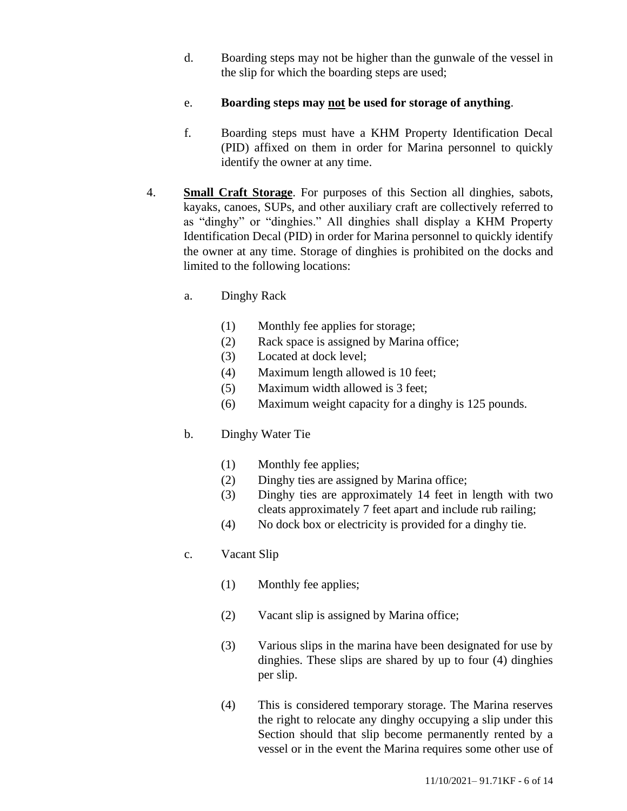- d. Boarding steps may not be higher than the gunwale of the vessel in the slip for which the boarding steps are used;
- e. **Boarding steps may not be used for storage of anything**.
- f. Boarding steps must have a KHM Property Identification Decal (PID) affixed on them in order for Marina personnel to quickly identify the owner at any time.
- 4. **Small Craft Storage**. For purposes of this Section all dinghies, sabots, kayaks, canoes, SUPs, and other auxiliary craft are collectively referred to as "dinghy" or "dinghies." All dinghies shall display a KHM Property Identification Decal (PID) in order for Marina personnel to quickly identify the owner at any time. Storage of dinghies is prohibited on the docks and limited to the following locations:
	- a. Dinghy Rack
		- (1) Monthly fee applies for storage;
		- (2) Rack space is assigned by Marina office;
		- (3) Located at dock level;
		- (4) Maximum length allowed is 10 feet;
		- (5) Maximum width allowed is 3 feet;
		- (6) Maximum weight capacity for a dinghy is 125 pounds.
	- b. Dinghy Water Tie
		- (1) Monthly fee applies;
		- (2) Dinghy ties are assigned by Marina office;
		- (3) Dinghy ties are approximately 14 feet in length with two cleats approximately 7 feet apart and include rub railing;
		- (4) No dock box or electricity is provided for a dinghy tie.

# c. Vacant Slip

- (1) Monthly fee applies;
- (2) Vacant slip is assigned by Marina office;
- (3) Various slips in the marina have been designated for use by dinghies. These slips are shared by up to four (4) dinghies per slip.
- (4) This is considered temporary storage. The Marina reserves the right to relocate any dinghy occupying a slip under this Section should that slip become permanently rented by a vessel or in the event the Marina requires some other use of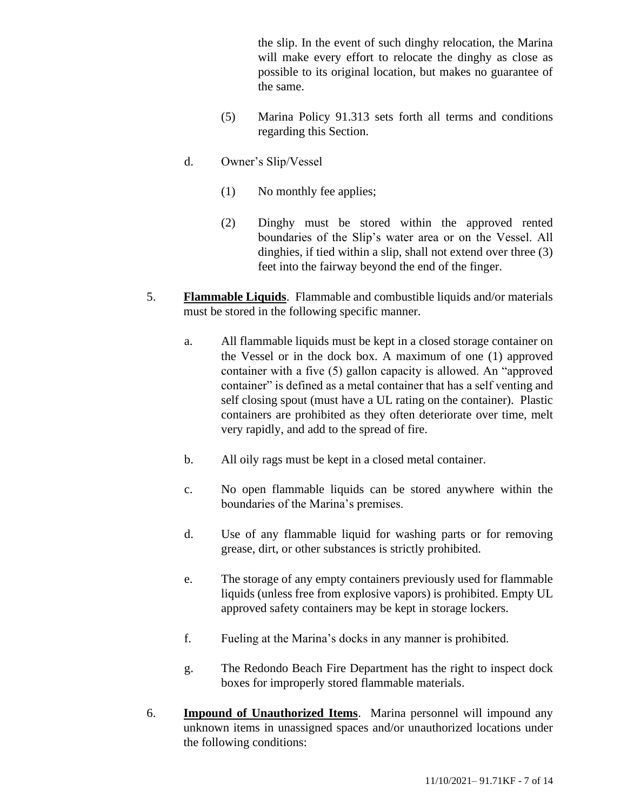the slip. In the event of such dinghy relocation, the Marina will make every effort to relocate the dinghy as close as possible to its original location, but makes no guarantee of the same.

- (5) Marina Policy 91.313 sets forth all terms and conditions regarding this Section.
- d. Owner's Slip/Vessel
	- (1) No monthly fee applies;
	- (2) Dinghy must be stored within the approved rented boundaries of the Slip's water area or on the Vessel. All dinghies, if tied within a slip, shall not extend over three (3) feet into the fairway beyond the end of the finger.
- 5. **Flammable Liquids**. Flammable and combustible liquids and/or materials must be stored in the following specific manner.
	- a. All flammable liquids must be kept in a closed storage container on the Vessel or in the dock box. A maximum of one (1) approved container with a five (5) gallon capacity is allowed. An "approved container" is defined as a metal container that has a self venting and self closing spout (must have a UL rating on the container). Plastic containers are prohibited as they often deteriorate over time, melt very rapidly, and add to the spread of fire.
	- b. All oily rags must be kept in a closed metal container.
	- c. No open flammable liquids can be stored anywhere within the boundaries of the Marina's premises.
	- d. Use of any flammable liquid for washing parts or for removing grease, dirt, or other substances is strictly prohibited.
	- e. The storage of any empty containers previously used for flammable liquids (unless free from explosive vapors) is prohibited. Empty UL approved safety containers may be kept in storage lockers.
	- f. Fueling at the Marina's docks in any manner is prohibited.
	- g. The Redondo Beach Fire Department has the right to inspect dock boxes for improperly stored flammable materials.
- 6. **Impound of Unauthorized Items**. Marina personnel will impound any unknown items in unassigned spaces and/or unauthorized locations under the following conditions: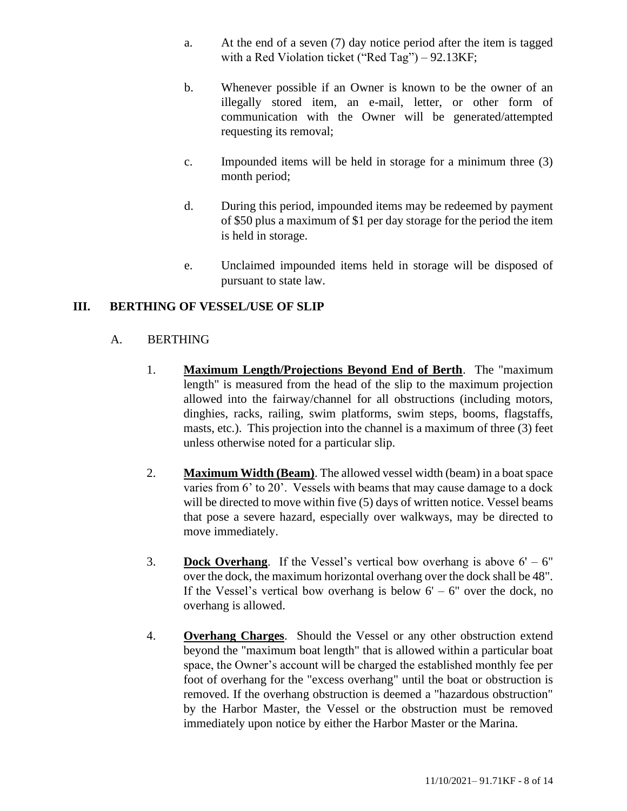- a. At the end of a seven (7) day notice period after the item is tagged with a Red Violation ticket ("Red Tag") – 92.13KF;
- b. Whenever possible if an Owner is known to be the owner of an illegally stored item, an e-mail, letter, or other form of communication with the Owner will be generated/attempted requesting its removal;
- c. Impounded items will be held in storage for a minimum three (3) month period;
- d. During this period, impounded items may be redeemed by payment of \$50 plus a maximum of \$1 per day storage for the period the item is held in storage.
- e. Unclaimed impounded items held in storage will be disposed of pursuant to state law.

## <span id="page-7-0"></span>**III. BERTHING OF VESSEL/USE OF SLIP**

#### A. BERTHING

- 1. **Maximum Length/Projections Beyond End of Berth**. The "maximum length" is measured from the head of the slip to the maximum projection allowed into the fairway/channel for all obstructions (including motors, dinghies, racks, railing, swim platforms, swim steps, booms, flagstaffs, masts, etc.). This projection into the channel is a maximum of three (3) feet unless otherwise noted for a particular slip.
- 2. **Maximum Width (Beam)**. The allowed vessel width (beam) in a boat space varies from 6' to 20'. Vessels with beams that may cause damage to a dock will be directed to move within five (5) days of written notice. Vessel beams that pose a severe hazard, especially over walkways, may be directed to move immediately.
- 3. **Dock Overhang**. If the Vessel's vertical bow overhang is above  $6' 6''$ over the dock, the maximum horizontal overhang over the dock shall be 48". If the Vessel's vertical bow overhang is below  $6' - 6''$  over the dock, no overhang is allowed.
- 4. **Overhang Charges**.Should the Vessel or any other obstruction extend beyond the "maximum boat length" that is allowed within a particular boat space, the Owner's account will be charged the established monthly fee per foot of overhang for the "excess overhang" until the boat or obstruction is removed. If the overhang obstruction is deemed a "hazardous obstruction" by the Harbor Master, the Vessel or the obstruction must be removed immediately upon notice by either the Harbor Master or the Marina.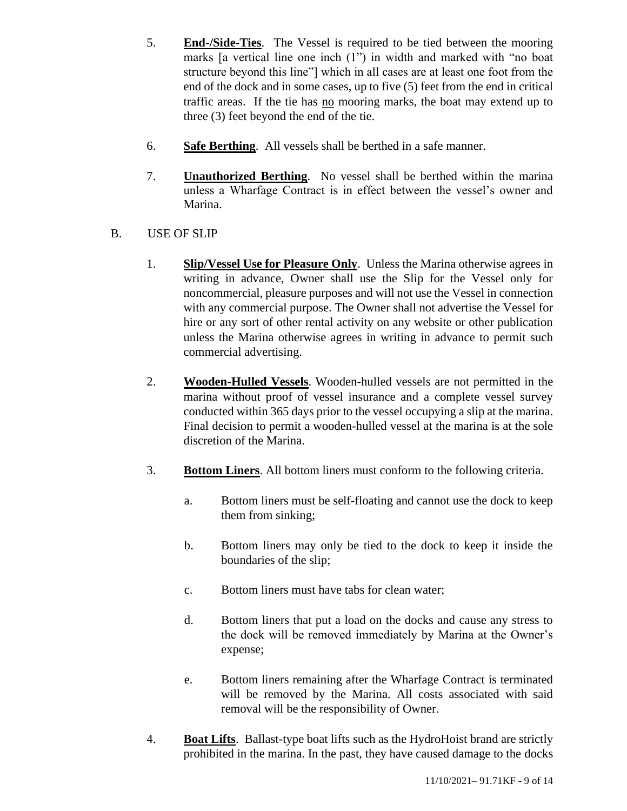- 5. **End-/Side-Ties**. The Vessel is required to be tied between the mooring marks [a vertical line one inch (1") in width and marked with "no boat structure beyond this line"] which in all cases are at least one foot from the end of the dock and in some cases, up to five (5) feet from the end in critical traffic areas. If the tie has no mooring marks, the boat may extend up to three (3) feet beyond the end of the tie.
- 6. **Safe Berthing**. All vessels shall be berthed in a safe manner.
- 7. **Unauthorized Berthing**. No vessel shall be berthed within the marina unless a Wharfage Contract is in effect between the vessel's owner and Marina.
- B. USE OF SLIP
	- 1. **Slip/Vessel Use for Pleasure Only**. Unless the Marina otherwise agrees in writing in advance, Owner shall use the Slip for the Vessel only for noncommercial, pleasure purposes and will not use the Vessel in connection with any commercial purpose. The Owner shall not advertise the Vessel for hire or any sort of other rental activity on any website or other publication unless the Marina otherwise agrees in writing in advance to permit such commercial advertising.
	- 2. **Wooden-Hulled Vessels**. Wooden-hulled vessels are not permitted in the marina without proof of vessel insurance and a complete vessel survey conducted within 365 days prior to the vessel occupying a slip at the marina. Final decision to permit a wooden-hulled vessel at the marina is at the sole discretion of the Marina.
	- 3. **Bottom Liners**. All bottom liners must conform to the following criteria.
		- a. Bottom liners must be self-floating and cannot use the dock to keep them from sinking;
		- b. Bottom liners may only be tied to the dock to keep it inside the boundaries of the slip;
		- c. Bottom liners must have tabs for clean water;
		- d. Bottom liners that put a load on the docks and cause any stress to the dock will be removed immediately by Marina at the Owner's expense;
		- e. Bottom liners remaining after the Wharfage Contract is terminated will be removed by the Marina. All costs associated with said removal will be the responsibility of Owner.
	- 4. **Boat Lifts**. Ballast-type boat lifts such as the HydroHoist brand are strictly prohibited in the marina. In the past, they have caused damage to the docks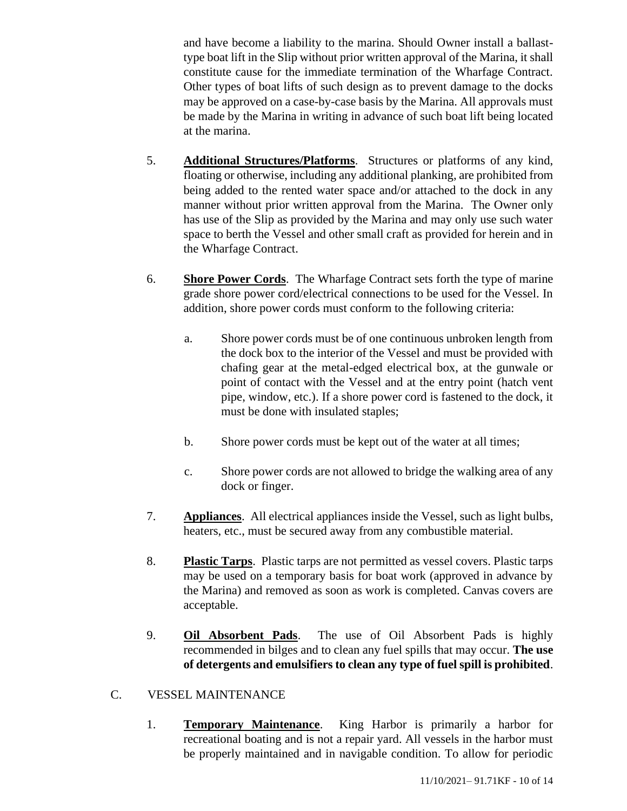and have become a liability to the marina. Should Owner install a ballasttype boat lift in the Slip without prior written approval of the Marina, it shall constitute cause for the immediate termination of the Wharfage Contract. Other types of boat lifts of such design as to prevent damage to the docks may be approved on a case-by-case basis by the Marina. All approvals must be made by the Marina in writing in advance of such boat lift being located at the marina.

- 5. **Additional Structures/Platforms**. Structures or platforms of any kind, floating or otherwise, including any additional planking, are prohibited from being added to the rented water space and/or attached to the dock in any manner without prior written approval from the Marina. The Owner only has use of the Slip as provided by the Marina and may only use such water space to berth the Vessel and other small craft as provided for herein and in the Wharfage Contract.
- 6. **Shore Power Cords**. The Wharfage Contract sets forth the type of marine grade shore power cord/electrical connections to be used for the Vessel. In addition, shore power cords must conform to the following criteria:
	- a. Shore power cords must be of one continuous unbroken length from the dock box to the interior of the Vessel and must be provided with chafing gear at the metal-edged electrical box, at the gunwale or point of contact with the Vessel and at the entry point (hatch vent pipe, window, etc.). If a shore power cord is fastened to the dock, it must be done with insulated staples;
	- b. Shore power cords must be kept out of the water at all times;
	- c. Shore power cords are not allowed to bridge the walking area of any dock or finger.
- 7. **Appliances**. All electrical appliances inside the Vessel, such as light bulbs, heaters, etc., must be secured away from any combustible material.
- 8. **Plastic Tarps**. Plastic tarps are not permitted as vessel covers. Plastic tarps may be used on a temporary basis for boat work (approved in advance by the Marina) and removed as soon as work is completed. Canvas covers are acceptable.
- 9. **Oil Absorbent Pads**. The use of Oil Absorbent Pads is highly recommended in bilges and to clean any fuel spills that may occur. **The use of detergents and emulsifiers to clean any type of fuel spill is prohibited**.
- C. VESSEL MAINTENANCE
	- 1. **Temporary Maintenance**. King Harbor is primarily a harbor for recreational boating and is not a repair yard. All vessels in the harbor must be properly maintained and in navigable condition. To allow for periodic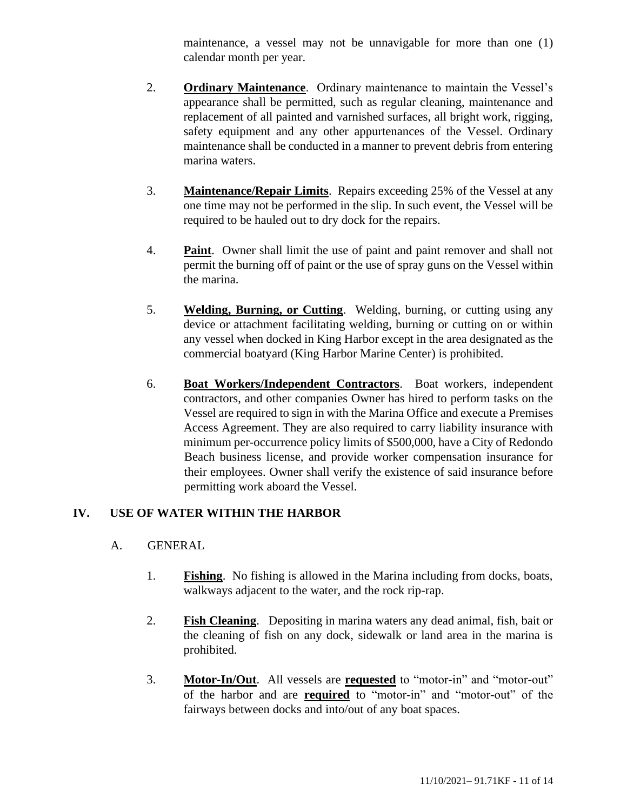maintenance, a vessel may not be unnavigable for more than one (1) calendar month per year.

- 2. **Ordinary Maintenance**. Ordinary maintenance to maintain the Vessel's appearance shall be permitted, such as regular cleaning, maintenance and replacement of all painted and varnished surfaces, all bright work, rigging, safety equipment and any other appurtenances of the Vessel. Ordinary maintenance shall be conducted in a manner to prevent debris from entering marina waters.
- 3. **Maintenance/Repair Limits**. Repairs exceeding 25% of the Vessel at any one time may not be performed in the slip. In such event, the Vessel will be required to be hauled out to dry dock for the repairs.
- 4. **Paint**. Owner shall limit the use of paint and paint remover and shall not permit the burning off of paint or the use of spray guns on the Vessel within the marina.
- 5. **Welding, Burning, or Cutting**. Welding, burning, or cutting using any device or attachment facilitating welding, burning or cutting on or within any vessel when docked in King Harbor except in the area designated as the commercial boatyard (King Harbor Marine Center) is prohibited.
- 6. **Boat Workers/Independent Contractors**. Boat workers, independent contractors, and other companies Owner has hired to perform tasks on the Vessel are required to sign in with the Marina Office and execute a Premises Access Agreement. They are also required to carry liability insurance with minimum per-occurrence policy limits of \$500,000, have a City of Redondo Beach business license, and provide worker compensation insurance for their employees. Owner shall verify the existence of said insurance before permitting work aboard the Vessel.

#### <span id="page-10-0"></span>**IV. USE OF WATER WITHIN THE HARBOR**

- A. GENERAL
	- 1. **Fishing**.No fishing is allowed in the Marina including from docks, boats, walkways adjacent to the water, and the rock rip-rap.
	- 2. **Fish Cleaning**. Depositing in marina waters any dead animal, fish, bait or the cleaning of fish on any dock, sidewalk or land area in the marina is prohibited.
	- 3. **Motor-In/Out**.All vessels are **requested** to "motor-in" and "motor-out" of the harbor and are **required** to "motor-in" and "motor-out" of the fairways between docks and into/out of any boat spaces.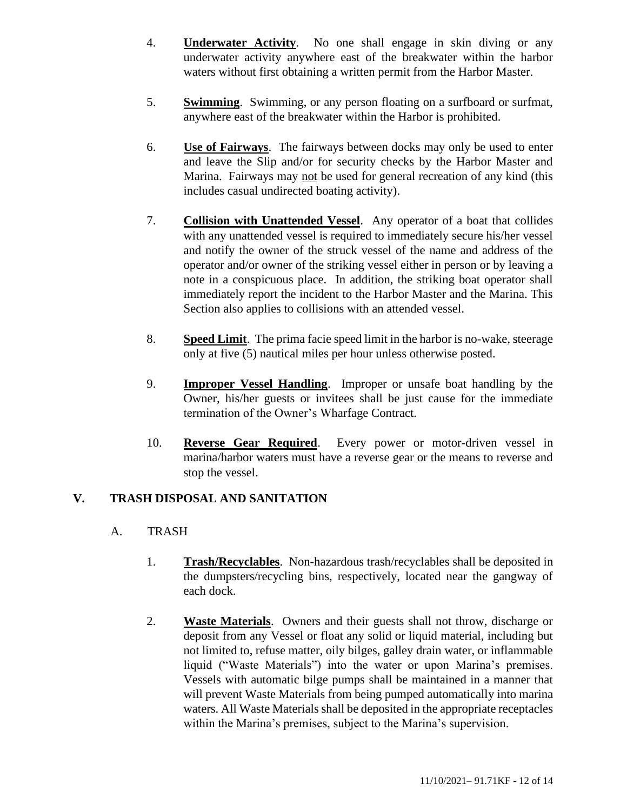- 4. **Underwater Activity**. No one shall engage in skin diving or any underwater activity anywhere east of the breakwater within the harbor waters without first obtaining a written permit from the Harbor Master.
- 5. **Swimming**. Swimming, or any person floating on a surfboard or surfmat, anywhere east of the breakwater within the Harbor is prohibited.
- 6. **Use of Fairways**. The fairways between docks may only be used to enter and leave the Slip and/or for security checks by the Harbor Master and Marina. Fairways may not be used for general recreation of any kind (this includes casual undirected boating activity).
- 7. **Collision with Unattended Vessel**. Any operator of a boat that collides with any unattended vessel is required to immediately secure his/her vessel and notify the owner of the struck vessel of the name and address of the operator and/or owner of the striking vessel either in person or by leaving a note in a conspicuous place. In addition, the striking boat operator shall immediately report the incident to the Harbor Master and the Marina. This Section also applies to collisions with an attended vessel.
- 8. **Speed Limit**. The prima facie speed limit in the harbor is no-wake, steerage only at five (5) nautical miles per hour unless otherwise posted.
- 9. **Improper Vessel Handling**. Improper or unsafe boat handling by the Owner, his/her guests or invitees shall be just cause for the immediate termination of the Owner's Wharfage Contract.
- 10. **Reverse Gear Required**. Every power or motor-driven vessel in marina/harbor waters must have a reverse gear or the means to reverse and stop the vessel.

#### <span id="page-11-0"></span>**V. TRASH DISPOSAL AND SANITATION**

#### A. TRASH

- 1. **Trash/Recyclables**. Non-hazardous trash/recyclables shall be deposited in the dumpsters/recycling bins, respectively, located near the gangway of each dock.
- 2. **Waste Materials**. Owners and their guests shall not throw, discharge or deposit from any Vessel or float any solid or liquid material, including but not limited to, refuse matter, oily bilges, galley drain water, or inflammable liquid ("Waste Materials") into the water or upon Marina's premises. Vessels with automatic bilge pumps shall be maintained in a manner that will prevent Waste Materials from being pumped automatically into marina waters. All Waste Materials shall be deposited in the appropriate receptacles within the Marina's premises, subject to the Marina's supervision.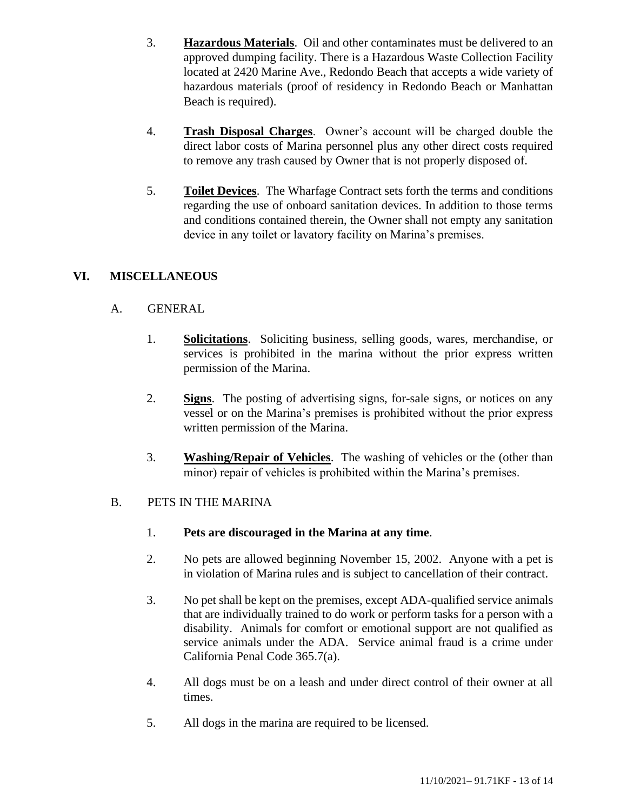- 3. **Hazardous Materials**. Oil and other contaminates must be delivered to an approved dumping facility. There is a Hazardous Waste Collection Facility located at 2420 Marine Ave., Redondo Beach that accepts a wide variety of hazardous materials (proof of residency in Redondo Beach or Manhattan Beach is required).
- 4. **Trash Disposal Charges**. Owner's account will be charged double the direct labor costs of Marina personnel plus any other direct costs required to remove any trash caused by Owner that is not properly disposed of.
- 5. **Toilet Devices**. The Wharfage Contract sets forth the terms and conditions regarding the use of onboard sanitation devices. In addition to those terms and conditions contained therein, the Owner shall not empty any sanitation device in any toilet or lavatory facility on Marina's premises.

## <span id="page-12-0"></span>**VI. MISCELLANEOUS**

#### A. GENERAL

- 1. **Solicitations**. Soliciting business, selling goods, wares, merchandise, or services is prohibited in the marina without the prior express written permission of the Marina.
- 2. **Signs**. The posting of advertising signs, for-sale signs, or notices on any vessel or on the Marina's premises is prohibited without the prior express written permission of the Marina.
- 3. **Washing/Repair of Vehicles**. The washing of vehicles or the (other than minor) repair of vehicles is prohibited within the Marina's premises.

#### B. PETS IN THE MARINA

- 1. **Pets are discouraged in the Marina at any time**.
- 2. No pets are allowed beginning November 15, 2002. Anyone with a pet is in violation of Marina rules and is subject to cancellation of their contract.
- 3. No pet shall be kept on the premises, except ADA-qualified service animals that are individually trained to do work or perform tasks for a person with a disability. Animals for comfort or emotional support are not qualified as service animals under the ADA. Service animal fraud is a crime under California Penal Code 365.7(a).
- 4. All dogs must be on a leash and under direct control of their owner at all times.
- 5. All dogs in the marina are required to be licensed.